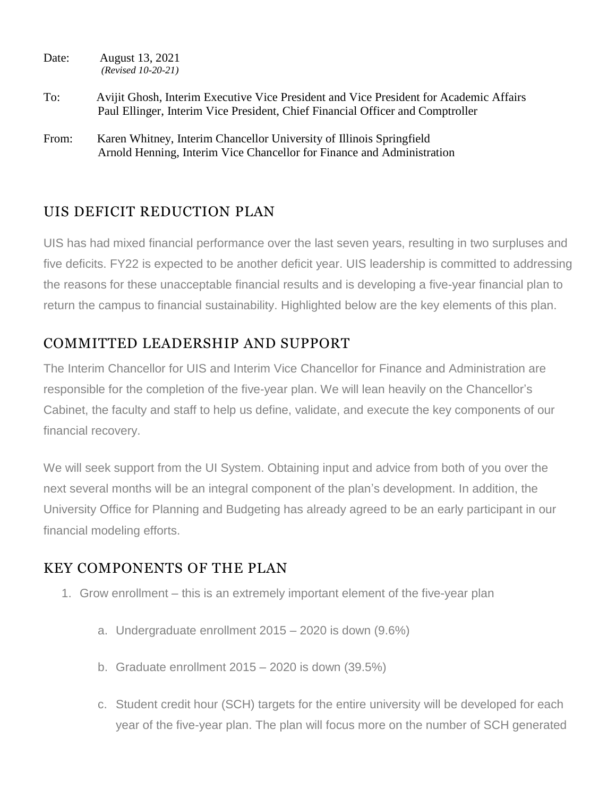- Date: August 13, 2021 *(Revised 10-20-21)*
- To: Avijit Ghosh, Interim Executive Vice President and Vice President for Academic Affairs Paul Ellinger, Interim Vice President, Chief Financial Officer and Comptroller
- From: Karen Whitney, Interim Chancellor University of Illinois Springfield Arnold Henning, Interim Vice Chancellor for Finance and Administration

## UIS DEFICIT REDUCTION PLAN

UIS has had mixed financial performance over the last seven years, resulting in two surpluses and five deficits. FY22 is expected to be another deficit year. UIS leadership is committed to addressing the reasons for these unacceptable financial results and is developing a five-year financial plan to return the campus to financial sustainability. Highlighted below are the key elements of this plan.

## COMMITTED LEADERSHIP AND SUPPORT

The Interim Chancellor for UIS and Interim Vice Chancellor for Finance and Administration are responsible for the completion of the five-year plan. We will lean heavily on the Chancellor's Cabinet, the faculty and staff to help us define, validate, and execute the key components of our financial recovery.

We will seek support from the UI System. Obtaining input and advice from both of you over the next several months will be an integral component of the plan's development. In addition, the University Office for Planning and Budgeting has already agreed to be an early participant in our financial modeling efforts.

## KEY COMPONENTS OF THE PLAN

- 1. Grow enrollment this is an extremely important element of the five-year plan
	- a. Undergraduate enrollment 2015 2020 is down (9.6%)
	- b. Graduate enrollment 2015 2020 is down (39.5%)
	- c. Student credit hour (SCH) targets for the entire university will be developed for each year of the five-year plan. The plan will focus more on the number of SCH generated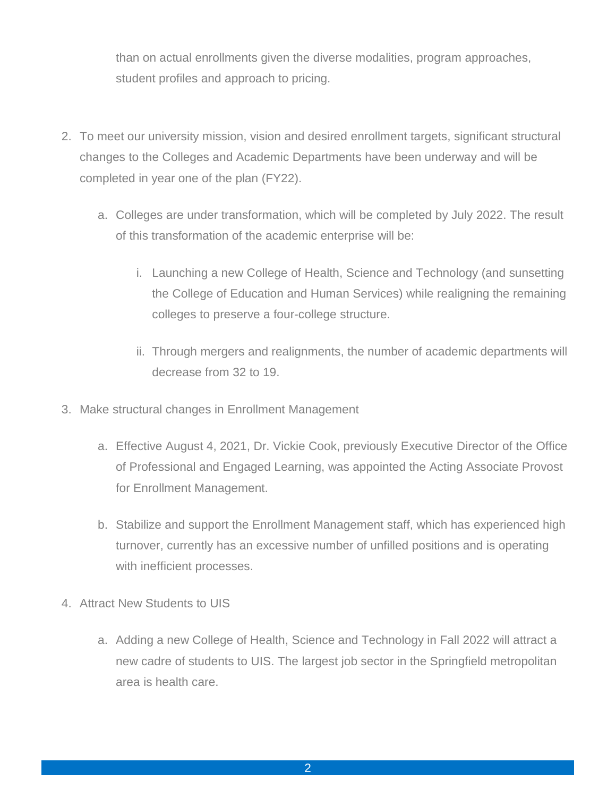than on actual enrollments given the diverse modalities, program approaches, student profiles and approach to pricing.

- 2. To meet our university mission, vision and desired enrollment targets, significant structural changes to the Colleges and Academic Departments have been underway and will be completed in year one of the plan (FY22).
	- a. Colleges are under transformation, which will be completed by July 2022. The result of this transformation of the academic enterprise will be:
		- i. Launching a new College of Health, Science and Technology (and sunsetting the College of Education and Human Services) while realigning the remaining colleges to preserve a four-college structure.
		- ii. Through mergers and realignments, the number of academic departments will decrease from 32 to 19.
- 3. Make structural changes in Enrollment Management
	- a. Effective August 4, 2021, Dr. Vickie Cook, previously Executive Director of the Office of Professional and Engaged Learning, was appointed the Acting Associate Provost for Enrollment Management.
	- b. Stabilize and support the Enrollment Management staff, which has experienced high turnover, currently has an excessive number of unfilled positions and is operating with inefficient processes.
- 4. Attract New Students to UIS
	- a. Adding a new College of Health, Science and Technology in Fall 2022 will attract a new cadre of students to UIS. The largest job sector in the Springfield metropolitan area is health care.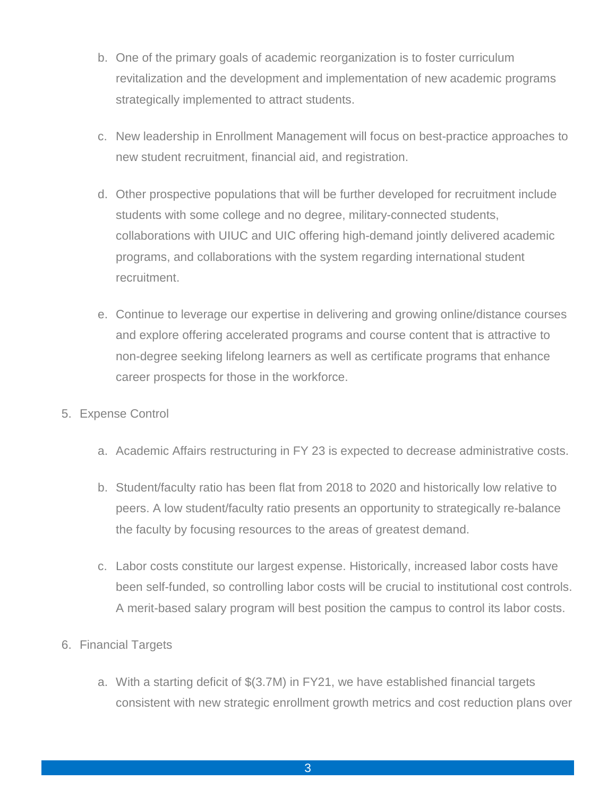- b. One of the primary goals of academic reorganization is to foster curriculum revitalization and the development and implementation of new academic programs strategically implemented to attract students.
- c. New leadership in Enrollment Management will focus on best-practice approaches to new student recruitment, financial aid, and registration.
- d. Other prospective populations that will be further developed for recruitment include students with some college and no degree, military-connected students, collaborations with UIUC and UIC offering high-demand jointly delivered academic programs, and collaborations with the system regarding international student recruitment.
- e. Continue to leverage our expertise in delivering and growing online/distance courses and explore offering accelerated programs and course content that is attractive to non-degree seeking lifelong learners as well as certificate programs that enhance career prospects for those in the workforce.
- 5. Expense Control
	- a. Academic Affairs restructuring in FY 23 is expected to decrease administrative costs.
	- b. Student/faculty ratio has been flat from 2018 to 2020 and historically low relative to peers. A low student/faculty ratio presents an opportunity to strategically re-balance the faculty by focusing resources to the areas of greatest demand.
	- c. Labor costs constitute our largest expense. Historically, increased labor costs have been self-funded, so controlling labor costs will be crucial to institutional cost controls. A merit-based salary program will best position the campus to control its labor costs.
- 6. Financial Targets
	- a. With a starting deficit of \$(3.7M) in FY21, we have established financial targets consistent with new strategic enrollment growth metrics and cost reduction plans over